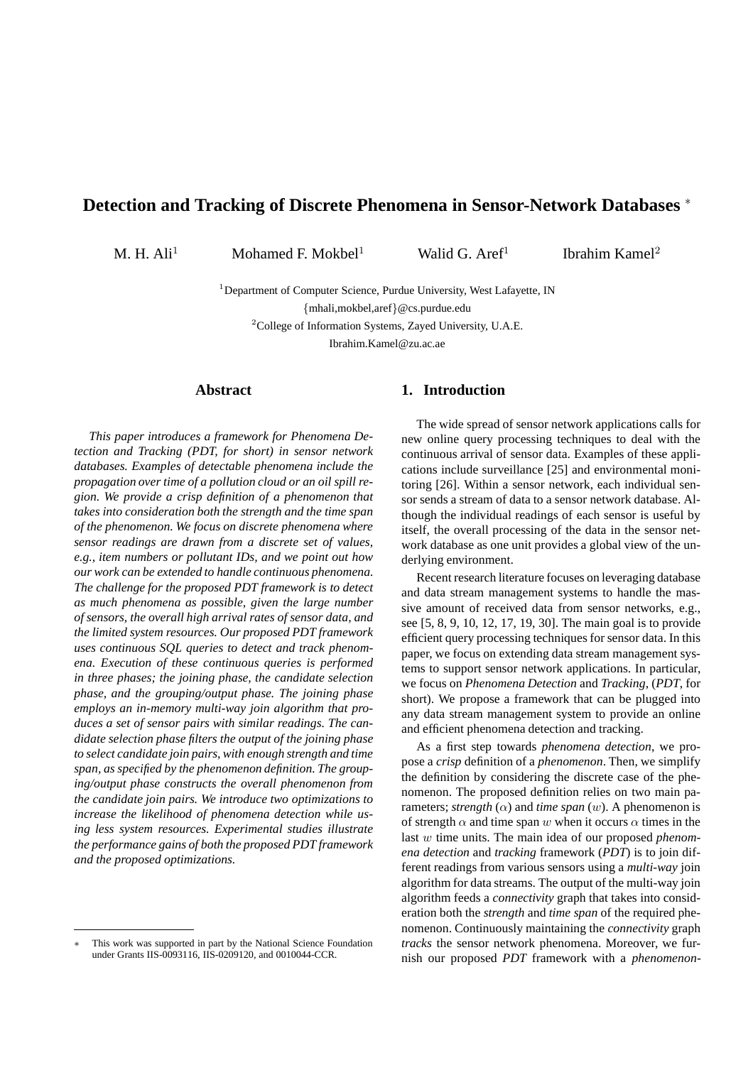# **Detection and Tracking of Discrete Phenomena in Sensor-Network Databases** <sup>∗</sup>

M. H. Ali<sup>1</sup> Mohamed F. Mokbel<sup>1</sup> Walid G. Aref<sup>1</sup>

Ibrahim Kamel<sup>2</sup>

<sup>1</sup>Department of Computer Science, Purdue University, West Lafayette, IN

{mhali,mokbel,aref}@cs.purdue.edu

<sup>2</sup>College of Information Systems, Zayed University, U.A.E.

Ibrahim.Kamel@zu.ac.ae

## **Abstract**

*This paper introduces a framework for Phenomena Detection and Tracking (PDT, for short) in sensor network databases. Examples of detectable phenomena include the propagation over time of a pollution cloud or an oil spill region. We provide a crisp definition of a phenomenon that takes into consideration both the strength and the time span of the phenomenon. We focus on discrete phenomena where sensor readings are drawn from a discrete set of values, e.g., item numbers or pollutant IDs, and we point out how our work can be extended to handle continuous phenomena. The challenge for the proposed PDT framework is to detect as much phenomena as possible, given the large number of sensors, the overall high arrival rates of sensor data, and the limited system resources. Our proposed PDT framework uses continuous SQL queries to detect and track phenomena. Execution of these continuous queries is performed in three phases; the joining phase, the candidate selection phase, and the grouping/output phase. The joining phase employs an in-memory multi-way join algorithm that produces a set of sensor pairs with similar readings. The candidate selection phase filters the output of the joining phase to select candidate join pairs, with enough strength and time span, as specified by the phenomenon definition. The grouping/output phase constructs the overall phenomenon from the candidate join pairs. We introduce two optimizations to increase the likelihood of phenomena detection while using less system resources. Experimental studies illustrate the performance gains of both the proposed PDT framework and the proposed optimizations.*

#### **1. Introduction**

The wide spread of sensor network applications calls for new online query processing techniques to deal with the continuous arrival of sensor data. Examples of these applications include surveillance [25] and environmental monitoring [26]. Within a sensor network, each individual sensor sends a stream of data to a sensor network database. Although the individual readings of each sensor is useful by itself, the overall processing of the data in the sensor network database as one unit provides a global view of the underlying environment.

Recent research literature focuses on leveraging database and data stream management systems to handle the massive amount of received data from sensor networks, e.g., see [5, 8, 9, 10, 12, 17, 19, 30]. The main goal is to provide efficient query processing techniques for sensor data. In this paper, we focus on extending data stream management systems to support sensor network applications. In particular, we focus on *Phenomena Detection* and *Tracking*, (*PDT*, for short). We propose a framework that can be plugged into any data stream management system to provide an online and efficient phenomena detection and tracking.

As a first step towards *phenomena detection*, we propose a *crisp* definition of a *phenomenon*. Then, we simplify the definition by considering the discrete case of the phenomenon. The proposed definition relies on two main parameters; *strength*  $(\alpha)$  and *time span*  $(w)$ . A phenomenon is of strength  $\alpha$  and time span w when it occurs  $\alpha$  times in the last w time units. The main idea of our proposed *phenomena detection* and *tracking* framework (*PDT*) is to join different readings from various sensors using a *multi-way* join algorithm for data streams. The output of the multi-way join algorithm feeds a *connectivity* graph that takes into consideration both the *strength* and *time span* of the required phenomenon. Continuously maintaining the *connectivity* graph *tracks* the sensor network phenomena. Moreover, we furnish our proposed *PDT* framework with a *phenomenon-*

This work was supported in part by the National Science Foundation under Grants IIS-0093116, IIS-0209120, and 0010044-CCR.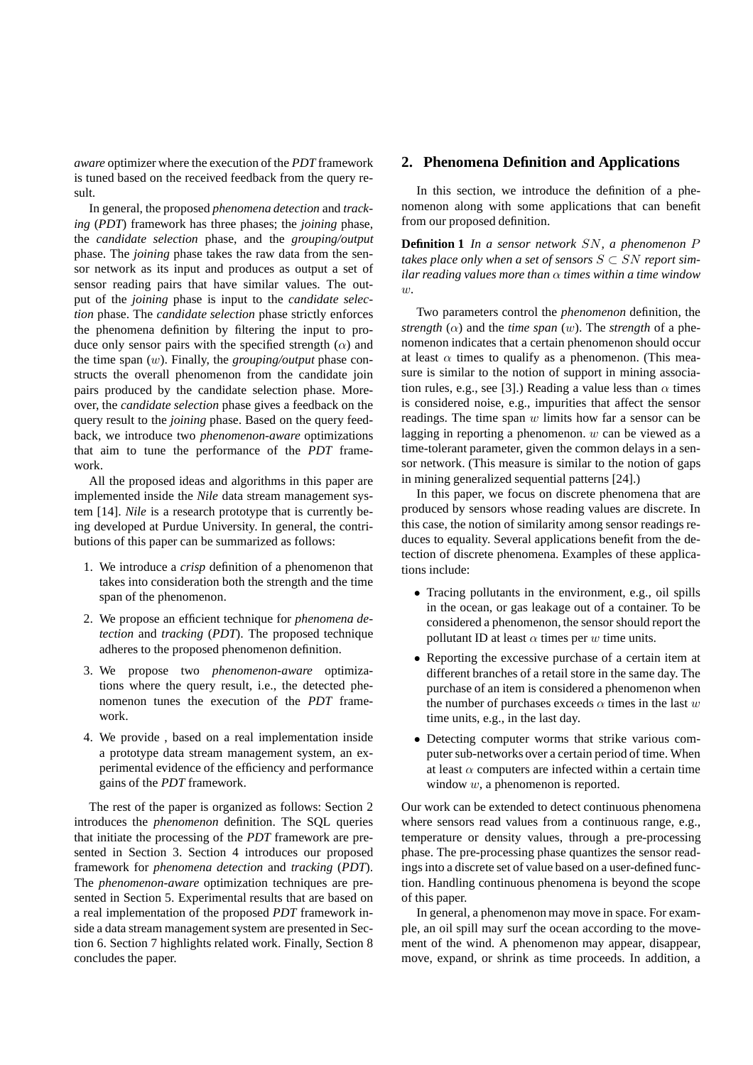*aware* optimizer where the execution of the *PDT* framework is tuned based on the received feedback from the query result.

In general, the proposed *phenomena detection* and *tracking* (*PDT*) framework has three phases; the *joining* phase, the *candidate selection* phase, and the *grouping/output* phase. The *joining* phase takes the raw data from the sensor network as its input and produces as output a set of sensor reading pairs that have similar values. The output of the *joining* phase is input to the *candidate selection* phase. The *candidate selection* phase strictly enforces the phenomena definition by filtering the input to produce only sensor pairs with the specified strength  $(\alpha)$  and the time span (w). Finally, the *grouping/output* phase constructs the overall phenomenon from the candidate join pairs produced by the candidate selection phase. Moreover, the *candidate selection* phase gives a feedback on the query result to the *joining* phase. Based on the query feedback, we introduce two *phenomenon-aware* optimizations that aim to tune the performance of the *PDT* framework.

All the proposed ideas and algorithms in this paper are implemented inside the *Nile* data stream management system [14]. *Nile* is a research prototype that is currently being developed at Purdue University. In general, the contributions of this paper can be summarized as follows:

- 1. We introduce a *crisp* definition of a phenomenon that takes into consideration both the strength and the time span of the phenomenon.
- 2. We propose an efficient technique for *phenomena detection* and *tracking* (*PDT*). The proposed technique adheres to the proposed phenomenon definition.
- 3. We propose two *phenomenon-aware* optimizations where the query result, i.e., the detected phenomenon tunes the execution of the *PDT* framework.
- 4. We provide , based on a real implementation inside a prototype data stream management system, an experimental evidence of the efficiency and performance gains of the *PDT* framework.

The rest of the paper is organized as follows: Section 2 introduces the *phenomenon* definition. The SQL queries that initiate the processing of the *PDT* framework are presented in Section 3. Section 4 introduces our proposed framework for *phenomena detection* and *tracking* (*PDT*). The *phenomenon-aware* optimization techniques are presented in Section 5. Experimental results that are based on a real implementation of the proposed *PDT* framework inside a data stream management system are presented in Section 6. Section 7 highlights related work. Finally, Section 8 concludes the paper.

## **2. Phenomena Definition and Applications**

In this section, we introduce the definition of a phenomenon along with some applications that can benefit from our proposed definition.

**Definition 1** *In a sensor network* SN*, a phenomenon* P *takes place only when a set of sensors*  $S \subset SN$  *report similar reading values more than* α *times within a time window* w*.*

Two parameters control the *phenomenon* definition, the *strength*  $(\alpha)$  and the *time span*  $(w)$ . The *strength* of a phenomenon indicates that a certain phenomenon should occur at least  $\alpha$  times to qualify as a phenomenon. (This measure is similar to the notion of support in mining association rules, e.g., see [3].) Reading a value less than  $\alpha$  times is considered noise, e.g., impurities that affect the sensor readings. The time span  $w$  limits how far a sensor can be lagging in reporting a phenomenon.  $w$  can be viewed as a time-tolerant parameter, given the common delays in a sensor network. (This measure is similar to the notion of gaps in mining generalized sequential patterns [24].)

In this paper, we focus on discrete phenomena that are produced by sensors whose reading values are discrete. In this case, the notion of similarity among sensor readings reduces to equality. Several applications benefit from the detection of discrete phenomena. Examples of these applications include:

- Tracing pollutants in the environment, e.g., oil spills in the ocean, or gas leakage out of a container. To be considered a phenomenon, the sensor should report the pollutant ID at least  $\alpha$  times per w time units.
- Reporting the excessive purchase of a certain item at different branches of a retail store in the same day. The purchase of an item is considered a phenomenon when the number of purchases exceeds  $\alpha$  times in the last w time units, e.g., in the last day.
- Detecting computer worms that strike various computer sub-networks over a certain period of time. When at least  $\alpha$  computers are infected within a certain time window  $w$ , a phenomenon is reported.

Our work can be extended to detect continuous phenomena where sensors read values from a continuous range, e.g., temperature or density values, through a pre-processing phase. The pre-processing phase quantizes the sensor readings into a discrete set of value based on a user-defined function. Handling continuous phenomena is beyond the scope of this paper.

In general, a phenomenon may move in space. For example, an oil spill may surf the ocean according to the movement of the wind. A phenomenon may appear, disappear, move, expand, or shrink as time proceeds. In addition, a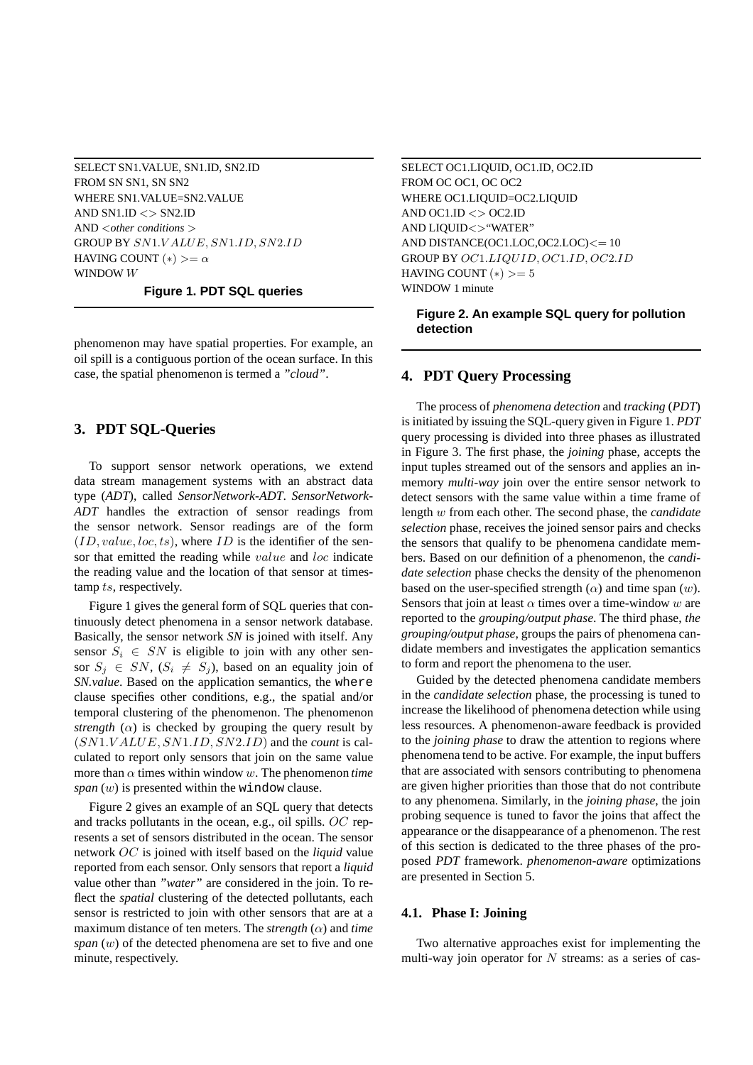SELECT SN1.VALUE, SN1.ID, SN2.ID FROM SN SN1, SN SN2 WHERE SN1.VALUE=SN2.VALUE AND  $SN1.ID \leq SN2.ID$ AND <*other conditions* > GROUP BY SN1.V ALUE, SN1.ID, SN2.ID HAVING COUNT  $(*) \geq \alpha$ WINDOW W

**Figure 1. PDT SQL queries**

phenomenon may have spatial properties. For example, an oil spill is a contiguous portion of the ocean surface. In this case, the spatial phenomenon is termed a *"cloud"*.

## **3. PDT SQL-Queries**

To support sensor network operations, we extend data stream management systems with an abstract data type (*ADT*), called *SensorNetwork-ADT*. *SensorNetwork-ADT* handles the extraction of sensor readings from the sensor network. Sensor readings are of the form  $(ID, value, loc, ts)$ , where  $ID$  is the identifier of the sensor that emitted the reading while *value* and *loc* indicate the reading value and the location of that sensor at timestamp ts, respectively.

Figure 1 gives the general form of SQL queries that continuously detect phenomena in a sensor network database. Basically, the sensor network *SN* is joined with itself. Any sensor  $S_i \in SN$  is eligible to join with any other sensor  $S_j \in SN$ ,  $(S_i \neq S_j)$ , based on an equality join of *SN.value*. Based on the application semantics, the where clause specifies other conditions, e.g., the spatial and/or temporal clustering of the phenomenon. The phenomenon *strength* ( $\alpha$ ) is checked by grouping the query result by (SN1.V ALUE, SN1.ID, SN2.ID) and the *count* is calculated to report only sensors that join on the same value more than  $\alpha$  times within window w. The phenomenon *time span* (w) is presented within the window clause.

Figure 2 gives an example of an SQL query that detects and tracks pollutants in the ocean, e.g., oil spills. OC represents a set of sensors distributed in the ocean. The sensor network OC is joined with itself based on the *liquid* value reported from each sensor. Only sensors that report a *liquid* value other than *"water"* are considered in the join. To reflect the *spatial* clustering of the detected pollutants, each sensor is restricted to join with other sensors that are at a maximum distance of ten meters. The *strength* (α) and *time span* (w) of the detected phenomena are set to five and one minute, respectively.

SELECT OC1.LIQUID, OC1.ID, OC2.ID FROM OC OC1, OC OC2 WHERE OC1.LIQUID=OC2.LIQUID AND OC1.ID  $\langle$  > OC2.ID AND LIQUID<>"WATER" AND DISTANCE(OC1.LOC,OC2.LOC)<= 10 GROUP BY OC1.LIQUID, OC1.ID, OC2.ID HAVING COUNT  $(*)$  >= 5 WINDOW 1 minute

## **Figure 2. An example SQL query for pollution detection**

## **4. PDT Query Processing**

The process of *phenomena detection* and *tracking* (*PDT*) is initiated by issuing the SQL-query given in Figure 1. *PDT* query processing is divided into three phases as illustrated in Figure 3. The first phase, the *joining* phase, accepts the input tuples streamed out of the sensors and applies an inmemory *multi-way* join over the entire sensor network to detect sensors with the same value within a time frame of length w from each other. The second phase, the *candidate selection* phase, receives the joined sensor pairs and checks the sensors that qualify to be phenomena candidate members. Based on our definition of a phenomenon, the *candidate selection* phase checks the density of the phenomenon based on the user-specified strength  $(\alpha)$  and time span  $(w)$ . Sensors that join at least  $\alpha$  times over a time-window w are reported to the *grouping/output phase*. The third phase, *the grouping/output phase*, groups the pairs of phenomena candidate members and investigates the application semantics to form and report the phenomena to the user.

Guided by the detected phenomena candidate members in the *candidate selection* phase, the processing is tuned to increase the likelihood of phenomena detection while using less resources. A phenomenon-aware feedback is provided to the *joining phase* to draw the attention to regions where phenomena tend to be active. For example, the input buffers that are associated with sensors contributing to phenomena are given higher priorities than those that do not contribute to any phenomena. Similarly, in the *joining phase*, the join probing sequence is tuned to favor the joins that affect the appearance or the disappearance of a phenomenon. The rest of this section is dedicated to the three phases of the proposed *PDT* framework. *phenomenon-aware* optimizations are presented in Section 5.

# **4.1. Phase I: Joining**

Two alternative approaches exist for implementing the multi-way join operator for  $N$  streams: as a series of cas-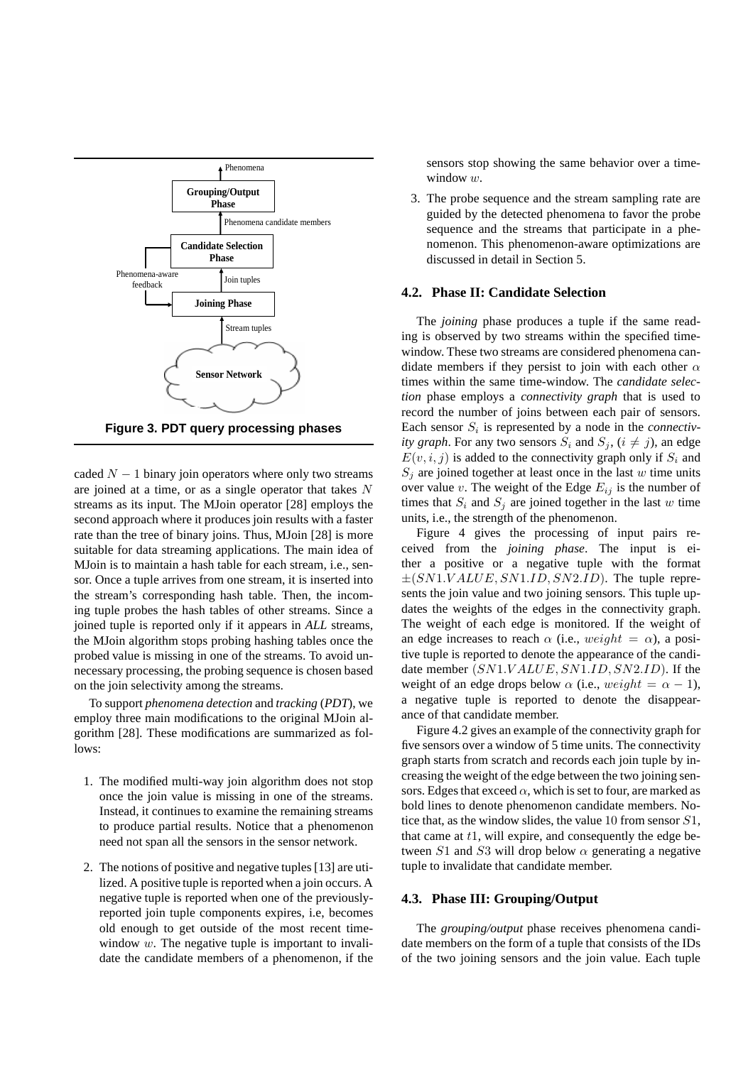

**Figure 3. PDT query processing phases**

caded  $N - 1$  binary join operators where only two streams are joined at a time, or as a single operator that takes N streams as its input. The MJoin operator [28] employs the second approach where it produces join results with a faster rate than the tree of binary joins. Thus, MJoin [28] is more suitable for data streaming applications. The main idea of MJoin is to maintain a hash table for each stream, i.e., sensor. Once a tuple arrives from one stream, it is inserted into the stream's corresponding hash table. Then, the incoming tuple probes the hash tables of other streams. Since a joined tuple is reported only if it appears in *ALL* streams, the MJoin algorithm stops probing hashing tables once the probed value is missing in one of the streams. To avoid unnecessary processing, the probing sequence is chosen based on the join selectivity among the streams.

To support *phenomena detection* and *tracking* (*PDT*), we employ three main modifications to the original MJoin algorithm [28]. These modifications are summarized as follows:

- 1. The modified multi-way join algorithm does not stop once the join value is missing in one of the streams. Instead, it continues to examine the remaining streams to produce partial results. Notice that a phenomenon need not span all the sensors in the sensor network.
- 2. The notions of positive and negative tuples [13] are utilized. A positive tuple is reported when a join occurs. A negative tuple is reported when one of the previouslyreported join tuple components expires, i.e, becomes old enough to get outside of the most recent timewindow  $w$ . The negative tuple is important to invalidate the candidate members of a phenomenon, if the

sensors stop showing the same behavior over a timewindow  $w$ .

3. The probe sequence and the stream sampling rate are guided by the detected phenomena to favor the probe sequence and the streams that participate in a phenomenon. This phenomenon-aware optimizations are discussed in detail in Section 5.

## **4.2. Phase II: Candidate Selection**

The *joining* phase produces a tuple if the same reading is observed by two streams within the specified timewindow. These two streams are considered phenomena candidate members if they persist to join with each other  $\alpha$ times within the same time-window. The *candidate selection* phase employs a *connectivity graph* that is used to record the number of joins between each pair of sensors. Each sensor  $S_i$  is represented by a node in the *connectivity graph*. For any two sensors  $S_i$  and  $S_j$ ,  $(i \neq j)$ , an edge  $E(v, i, j)$  is added to the connectivity graph only if  $S_i$  and  $S_j$  are joined together at least once in the last w time units over value v. The weight of the Edge  $E_{ij}$  is the number of times that  $S_i$  and  $S_j$  are joined together in the last w time units, i.e., the strength of the phenomenon.

Figure 4 gives the processing of input pairs received from the *joining phase*. The input is either a positive or a negative tuple with the format  $\pm (SN1.VALUE, SN1.ID, SN2.ID)$ . The tuple represents the join value and two joining sensors. This tuple updates the weights of the edges in the connectivity graph. The weight of each edge is monitored. If the weight of an edge increases to reach  $\alpha$  (i.e., weight =  $\alpha$ ), a positive tuple is reported to denote the appearance of the candidate member (SN1.VALUE, SN1.ID, SN2.ID). If the weight of an edge drops below  $\alpha$  (i.e., weight =  $\alpha - 1$ ), a negative tuple is reported to denote the disappearance of that candidate member.

Figure 4.2 gives an example of the connectivity graph for five sensors over a window of 5 time units. The connectivity graph starts from scratch and records each join tuple by increasing the weight of the edge between the two joining sensors. Edges that exceed  $\alpha$ , which is set to four, are marked as bold lines to denote phenomenon candidate members. Notice that, as the window slides, the value 10 from sensor S1, that came at  $t1$ , will expire, and consequently the edge between  $S1$  and  $S3$  will drop below  $\alpha$  generating a negative tuple to invalidate that candidate member.

#### **4.3. Phase III: Grouping/Output**

The *grouping/output* phase receives phenomena candidate members on the form of a tuple that consists of the IDs of the two joining sensors and the join value. Each tuple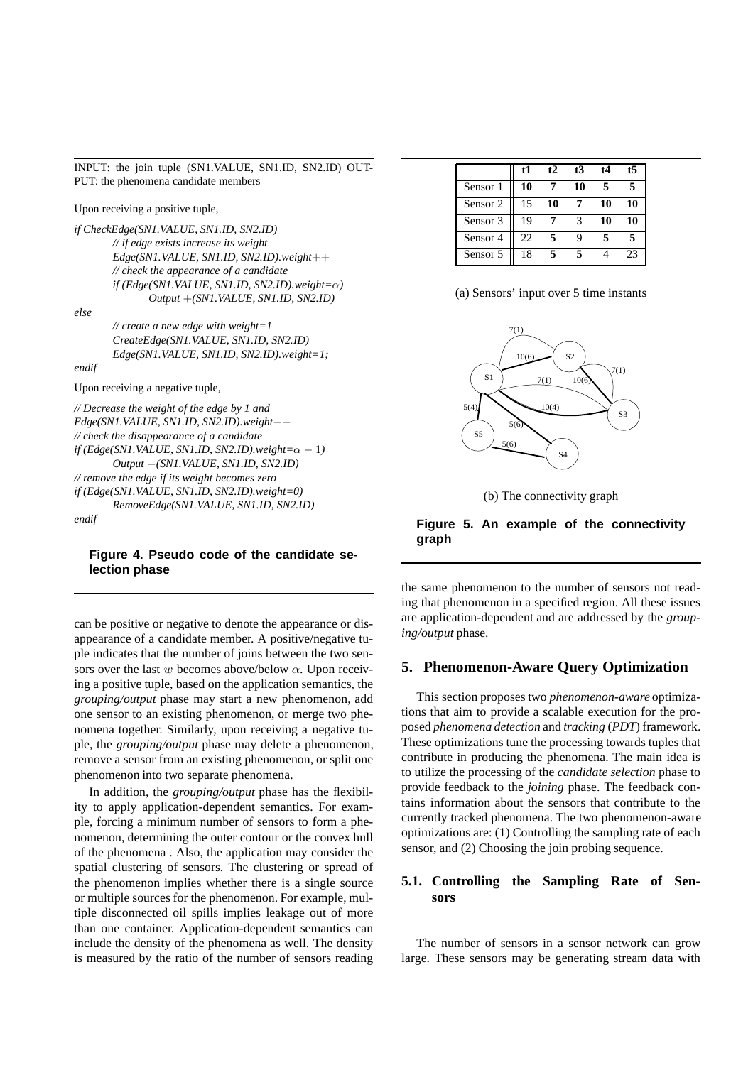INPUT: the join tuple (SN1.VALUE, SN1.ID, SN2.ID) OUT-PUT: the phenomena candidate members

Upon receiving a positive tuple,

*if CheckEdge(SN1.VALUE, SN1.ID, SN2.ID) // if edge exists increase its weight Edge(SN1.VALUE, SN1.ID, SN2.ID).weight*++ *// check the appearance of a candidate if (Edge(SN1.VALUE, SN1.ID, SN2.ID).weight=*α*) Output* +*(SN1.VALUE, SN1.ID, SN2.ID)*

*else*

*endif*

*// create a new edge with weight=1 CreateEdge(SN1.VALUE, SN1.ID, SN2.ID) Edge(SN1.VALUE, SN1.ID, SN2.ID).weight=1;*

Upon receiving a negative tuple,

*// Decrease the weight of the edge by 1 and Edge(SN1.VALUE, SN1.ID, SN2.ID).weight*−− *// check the disappearance of a candidate if* (*Edge*(*SN1.VALUE, SN1.ID, SN2.ID*).*weight*= $\alpha - 1$ ) *Output* −*(SN1.VALUE, SN1.ID, SN2.ID) // remove the edge if its weight becomes zero if (Edge(SN1.VALUE, SN1.ID, SN2.ID).weight=0) RemoveEdge(SN1.VALUE, SN1.ID, SN2.ID) endif*

## **Figure 4. Pseudo code of the candidate selection phase**

can be positive or negative to denote the appearance or disappearance of a candidate member. A positive/negative tuple indicates that the number of joins between the two sensors over the last w becomes above/below  $\alpha$ . Upon receiving a positive tuple, based on the application semantics, the *grouping/output* phase may start a new phenomenon, add one sensor to an existing phenomenon, or merge two phenomena together. Similarly, upon receiving a negative tuple, the *grouping/output* phase may delete a phenomenon, remove a sensor from an existing phenomenon, or split one phenomenon into two separate phenomena.

In addition, the *grouping/output* phase has the flexibility to apply application-dependent semantics. For example, forcing a minimum number of sensors to form a phenomenon, determining the outer contour or the convex hull of the phenomena . Also, the application may consider the spatial clustering of sensors. The clustering or spread of the phenomenon implies whether there is a single source or multiple sources for the phenomenon. For example, multiple disconnected oil spills implies leakage out of more than one container. Application-dependent semantics can include the density of the phenomena as well. The density is measured by the ratio of the number of sensors reading

|          | t1 | t2 | t3 | t4 | 15 |
|----------|----|----|----|----|----|
| Sensor 1 | 10 |    | 10 |    |    |
| Sensor 2 | 15 | 10 |    | 10 | 10 |
| Sensor 3 | 19 |    |    | 10 | 10 |
| Sensor 4 | 22 |    | q  |    |    |
| Sensor 5 | 18 |    |    |    | 23 |

(a) Sensors' input over 5 time instants



(b) The connectivity graph

# **Figure 5. An example of the connectivity graph**

the same phenomenon to the number of sensors not reading that phenomenon in a specified region. All these issues are application-dependent and are addressed by the *grouping/output* phase.

## **5. Phenomenon-Aware Query Optimization**

This section proposes two *phenomenon-aware* optimizations that aim to provide a scalable execution for the proposed *phenomena detection* and *tracking* (*PDT*) framework. These optimizations tune the processing towards tuples that contribute in producing the phenomena. The main idea is to utilize the processing of the *candidate selection* phase to provide feedback to the *joining* phase. The feedback contains information about the sensors that contribute to the currently tracked phenomena. The two phenomenon-aware optimizations are: (1) Controlling the sampling rate of each sensor, and (2) Choosing the join probing sequence.

# **5.1. Controlling the Sampling Rate of Sensors**

The number of sensors in a sensor network can grow large. These sensors may be generating stream data with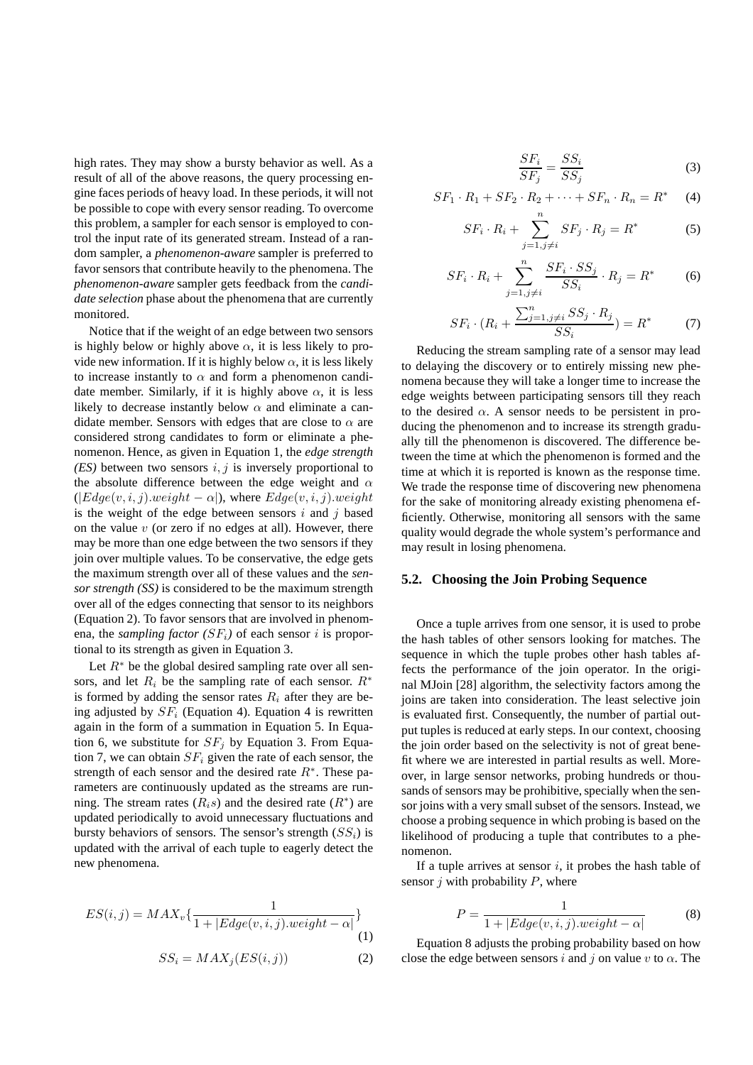high rates. They may show a bursty behavior as well. As a result of all of the above reasons, the query processing engine faces periods of heavy load. In these periods, it will not be possible to cope with every sensor reading. To overcome this problem, a sampler for each sensor is employed to control the input rate of its generated stream. Instead of a random sampler, a *phenomenon-aware* sampler is preferred to favor sensors that contribute heavily to the phenomena. The *phenomenon-aware* sampler gets feedback from the *candidate selection* phase about the phenomena that are currently monitored.

Notice that if the weight of an edge between two sensors is highly below or highly above  $\alpha$ , it is less likely to provide new information. If it is highly below  $\alpha$ , it is less likely to increase instantly to  $\alpha$  and form a phenomenon candidate member. Similarly, if it is highly above  $\alpha$ , it is less likely to decrease instantly below  $\alpha$  and eliminate a candidate member. Sensors with edges that are close to  $\alpha$  are considered strong candidates to form or eliminate a phenomenon. Hence, as given in Equation 1, the *edge strength (ES)* between two sensors  $i, j$  is inversely proportional to the absolute difference between the edge weight and  $\alpha$  $(|Edge(v, i, j).weight - \alpha|)$ , where  $Edge(v, i, j).weight$ is the weight of the edge between sensors  $i$  and  $j$  based on the value  $v$  (or zero if no edges at all). However, there may be more than one edge between the two sensors if they join over multiple values. To be conservative, the edge gets the maximum strength over all of these values and the *sensor strength (SS)* is considered to be the maximum strength over all of the edges connecting that sensor to its neighbors (Equation 2). To favor sensors that are involved in phenomena, the *sampling factor*  $(SF_i)$  of each sensor i is proportional to its strength as given in Equation 3.

Let  $R^*$  be the global desired sampling rate over all sensors, and let  $R_i$  be the sampling rate of each sensor.  $R^*$ is formed by adding the sensor rates  $R_i$  after they are being adjusted by  $SF_i$  (Equation 4). Equation 4 is rewritten again in the form of a summation in Equation 5. In Equation 6, we substitute for  $SF<sub>j</sub>$  by Equation 3. From Equation 7, we can obtain  $SF_i$  given the rate of each sensor, the strength of each sensor and the desired rate  $R^*$ . These parameters are continuously updated as the streams are running. The stream rates  $(R_i s)$  and the desired rate  $(R^*)$  are updated periodically to avoid unnecessary fluctuations and bursty behaviors of sensors. The sensor's strength  $(SS<sub>i</sub>)$  is updated with the arrival of each tuple to eagerly detect the new phenomena.

$$
ES(i, j) = MAX_v\{\frac{1}{1 + |Edge(v, i, j).weight - \alpha|}\}
$$
(1)

$$
SS_i = MAX_j(ES(i, j))
$$
 (2)

$$
\frac{SF_i}{SF_j} = \frac{SS_i}{SS_j} \tag{3}
$$

$$
SF_1 \cdot R_1 + SF_2 \cdot R_2 + \dots + SF_n \cdot R_n = R^* \tag{4}
$$

$$
SF_i \cdot R_i + \sum_{j=1, j \neq i}^{n} SF_j \cdot R_j = R^*
$$
 (5)

$$
SF_i \cdot R_i + \sum_{j=1, j \neq i}^{n} \frac{SF_i \cdot SS_j}{SS_i} \cdot R_j = R^*
$$
 (6)

$$
SF_i \cdot (R_i + \frac{\sum_{j=1, j \neq i}^{n} SS_j \cdot R_j}{SS_i}) = R^*
$$
 (7)

Reducing the stream sampling rate of a sensor may lead to delaying the discovery or to entirely missing new phenomena because they will take a longer time to increase the edge weights between participating sensors till they reach to the desired  $\alpha$ . A sensor needs to be persistent in producing the phenomenon and to increase its strength gradually till the phenomenon is discovered. The difference between the time at which the phenomenon is formed and the time at which it is reported is known as the response time. We trade the response time of discovering new phenomena for the sake of monitoring already existing phenomena efficiently. Otherwise, monitoring all sensors with the same quality would degrade the whole system's performance and may result in losing phenomena.

## **5.2. Choosing the Join Probing Sequence**

Once a tuple arrives from one sensor, it is used to probe the hash tables of other sensors looking for matches. The sequence in which the tuple probes other hash tables affects the performance of the join operator. In the original MJoin [28] algorithm, the selectivity factors among the joins are taken into consideration. The least selective join is evaluated first. Consequently, the number of partial output tuples is reduced at early steps. In our context, choosing the join order based on the selectivity is not of great benefit where we are interested in partial results as well. Moreover, in large sensor networks, probing hundreds or thousands of sensors may be prohibitive, specially when the sensor joins with a very small subset of the sensors. Instead, we choose a probing sequence in which probing is based on the likelihood of producing a tuple that contributes to a phenomenon.

If a tuple arrives at sensor  $i$ , it probes the hash table of sensor  $j$  with probability  $P$ , where

$$
P = \frac{1}{1 + |Edge(v, i, j).weight - \alpha|}
$$
 (8)

Equation 8 adjusts the probing probability based on how close the edge between sensors i and j on value v to  $\alpha$ . The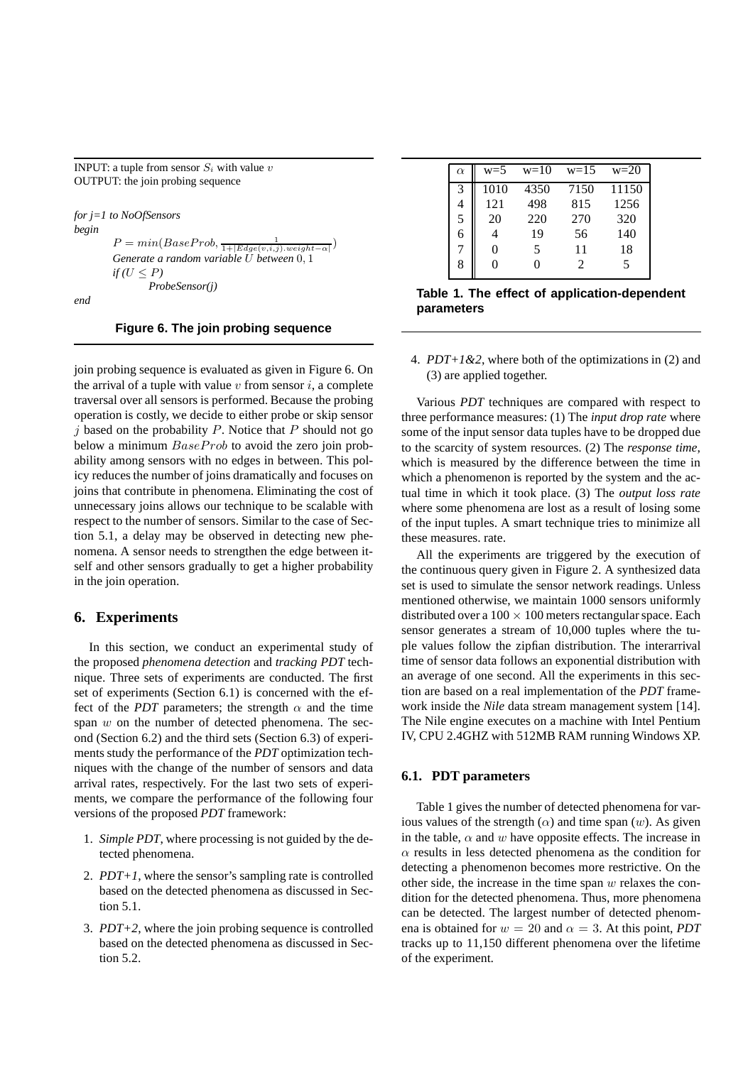INPUT: a tuple from sensor  $S_i$  with value v OUTPUT: the join probing sequence

*for j=1 to NoOfSensors begin*  $P = min(BaseProb, \frac{1}{1 + |Edge(v,i,j).weight - \alpha|})$ *Generate a random variable* U *between* 0, 1  $if(U < P)$ *ProbeSensor(j)*

*end*

#### **Figure 6. The join probing sequence**

join probing sequence is evaluated as given in Figure 6. On the arrival of a tuple with value  $v$  from sensor  $i$ , a complete traversal over all sensors is performed. Because the probing operation is costly, we decide to either probe or skip sensor  $j$  based on the probability  $P$ . Notice that  $P$  should not go below a minimum  $BaseProb$  to avoid the zero join probability among sensors with no edges in between. This policy reduces the number of joins dramatically and focuses on joins that contribute in phenomena. Eliminating the cost of unnecessary joins allows our technique to be scalable with respect to the number of sensors. Similar to the case of Section 5.1, a delay may be observed in detecting new phenomena. A sensor needs to strengthen the edge between itself and other sensors gradually to get a higher probability in the join operation.

## **6. Experiments**

In this section, we conduct an experimental study of the proposed *phenomena detection* and *tracking PDT* technique. Three sets of experiments are conducted. The first set of experiments (Section 6.1) is concerned with the effect of the *PDT* parameters; the strength  $\alpha$  and the time span  $w$  on the number of detected phenomena. The second (Section 6.2) and the third sets (Section 6.3) of experiments study the performance of the *PDT* optimization techniques with the change of the number of sensors and data arrival rates, respectively. For the last two sets of experiments, we compare the performance of the following four versions of the proposed *PDT* framework:

- 1. *Simple PDT*, where processing is not guided by the detected phenomena.
- 2. *PDT+1*, where the sensor's sampling rate is controlled based on the detected phenomena as discussed in Section 5.1.
- 3. *PDT+2*, where the join probing sequence is controlled based on the detected phenomena as discussed in Section 5.2.

| $\alpha$ | $w=5$ | $w=10$                   | $w=15$ | $w=20$ |
|----------|-------|--------------------------|--------|--------|
| 3        | 1010  | 4350                     | 7150   | 11150  |
|          | 121   | 498                      | 815    | 1256   |
| 5        | 20    | 220                      | 270    | 320    |
| 6        |       | 19                       | 56     | 140    |
|          |       | $\overline{\phantom{1}}$ | 11     | 18     |
| 8        |       |                          |        |        |

**Table 1. The effect of application-dependent parameters**

4. *PDT+1&2*, where both of the optimizations in (2) and (3) are applied together.

Various *PDT* techniques are compared with respect to three performance measures: (1) The *input drop rate* where some of the input sensor data tuples have to be dropped due to the scarcity of system resources. (2) The *response time*, which is measured by the difference between the time in which a phenomenon is reported by the system and the actual time in which it took place. (3) The *output loss rate* where some phenomena are lost as a result of losing some of the input tuples. A smart technique tries to minimize all these measures. rate.

All the experiments are triggered by the execution of the continuous query given in Figure 2. A synthesized data set is used to simulate the sensor network readings. Unless mentioned otherwise, we maintain 1000 sensors uniformly distributed over a  $100 \times 100$  meters rectangular space. Each sensor generates a stream of 10,000 tuples where the tuple values follow the zipfian distribution. The interarrival time of sensor data follows an exponential distribution with an average of one second. All the experiments in this section are based on a real implementation of the *PDT* framework inside the *Nile* data stream management system [14]. The Nile engine executes on a machine with Intel Pentium IV, CPU 2.4GHZ with 512MB RAM running Windows XP.

#### **6.1. PDT parameters**

Table 1 gives the number of detected phenomena for various values of the strength  $(\alpha)$  and time span  $(w)$ . As given in the table,  $\alpha$  and w have opposite effects. The increase in  $\alpha$  results in less detected phenomena as the condition for detecting a phenomenon becomes more restrictive. On the other side, the increase in the time span  $w$  relaxes the condition for the detected phenomena. Thus, more phenomena can be detected. The largest number of detected phenomena is obtained for  $w = 20$  and  $\alpha = 3$ . At this point, *PDT* tracks up to 11,150 different phenomena over the lifetime of the experiment.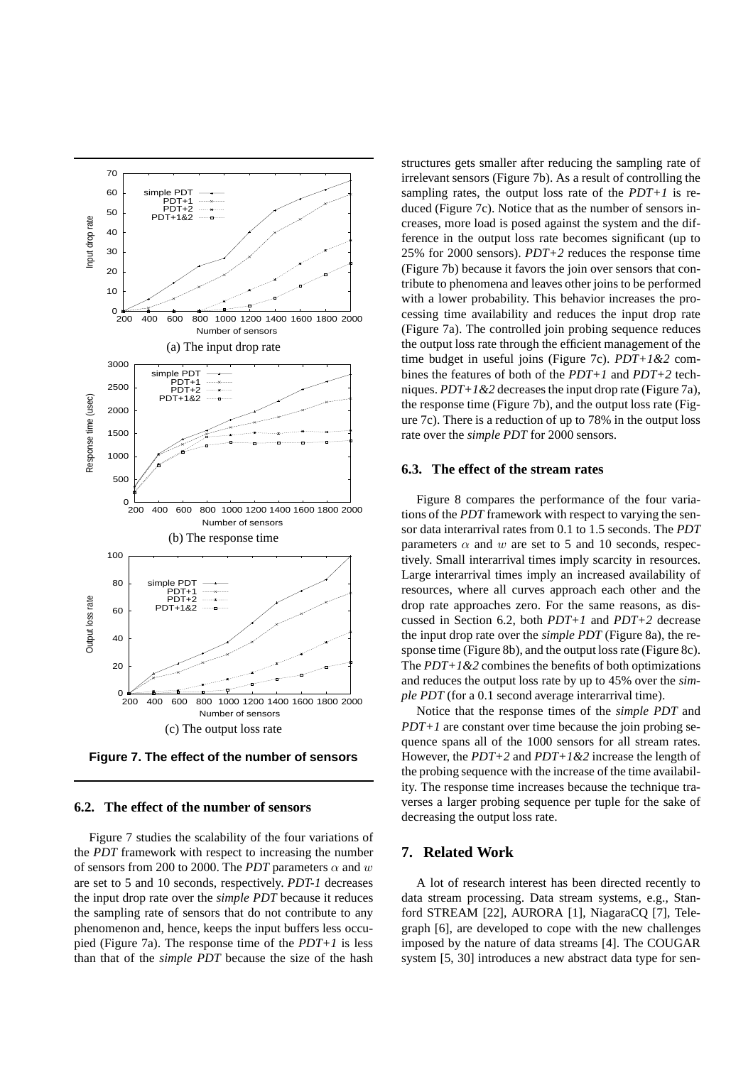

**Figure 7. The effect of the number of sensors**

#### **6.2. The effect of the number of sensors**

Figure 7 studies the scalability of the four variations of the *PDT* framework with respect to increasing the number of sensors from 200 to 2000. The *PDT* parameters  $\alpha$  and w are set to 5 and 10 seconds, respectively. *PDT-1* decreases the input drop rate over the *simple PDT* because it reduces the sampling rate of sensors that do not contribute to any phenomenon and, hence, keeps the input buffers less occupied (Figure 7a). The response time of the *PDT+1* is less than that of the *simple PDT* because the size of the hash structures gets smaller after reducing the sampling rate of irrelevant sensors (Figure 7b). As a result of controlling the sampling rates, the output loss rate of the *PDT+1* is reduced (Figure 7c). Notice that as the number of sensors increases, more load is posed against the system and the difference in the output loss rate becomes significant (up to 25% for 2000 sensors). *PDT+2* reduces the response time (Figure 7b) because it favors the join over sensors that contribute to phenomena and leaves other joins to be performed with a lower probability. This behavior increases the processing time availability and reduces the input drop rate (Figure 7a). The controlled join probing sequence reduces the output loss rate through the efficient management of the time budget in useful joins (Figure 7c). *PDT+1&2* combines the features of both of the *PDT+1* and *PDT+2* techniques. *PDT+1&2* decreases the input drop rate (Figure 7a), the response time (Figure 7b), and the output loss rate (Figure 7c). There is a reduction of up to 78% in the output loss rate over the *simple PDT* for 2000 sensors.

#### **6.3. The effect of the stream rates**

Figure 8 compares the performance of the four variations of the *PDT* framework with respect to varying the sensor data interarrival rates from 0.1 to 1.5 seconds. The *PDT* parameters  $\alpha$  and w are set to 5 and 10 seconds, respectively. Small interarrival times imply scarcity in resources. Large interarrival times imply an increased availability of resources, where all curves approach each other and the drop rate approaches zero. For the same reasons, as discussed in Section 6.2, both *PDT+1* and *PDT+2* decrease the input drop rate over the *simple PDT* (Figure 8a), the response time (Figure 8b), and the output loss rate (Figure 8c). The *PDT+1&2* combines the benefits of both optimizations and reduces the output loss rate by up to 45% over the *simple PDT* (for a 0.1 second average interarrival time).

Notice that the response times of the *simple PDT* and *PDT+1* are constant over time because the join probing sequence spans all of the 1000 sensors for all stream rates. However, the *PDT+2* and *PDT+1&2* increase the length of the probing sequence with the increase of the time availability. The response time increases because the technique traverses a larger probing sequence per tuple for the sake of decreasing the output loss rate.

# **7. Related Work**

A lot of research interest has been directed recently to data stream processing. Data stream systems, e.g., Stanford STREAM [22], AURORA [1], NiagaraCQ [7], Telegraph [6], are developed to cope with the new challenges imposed by the nature of data streams [4]. The COUGAR system [5, 30] introduces a new abstract data type for sen-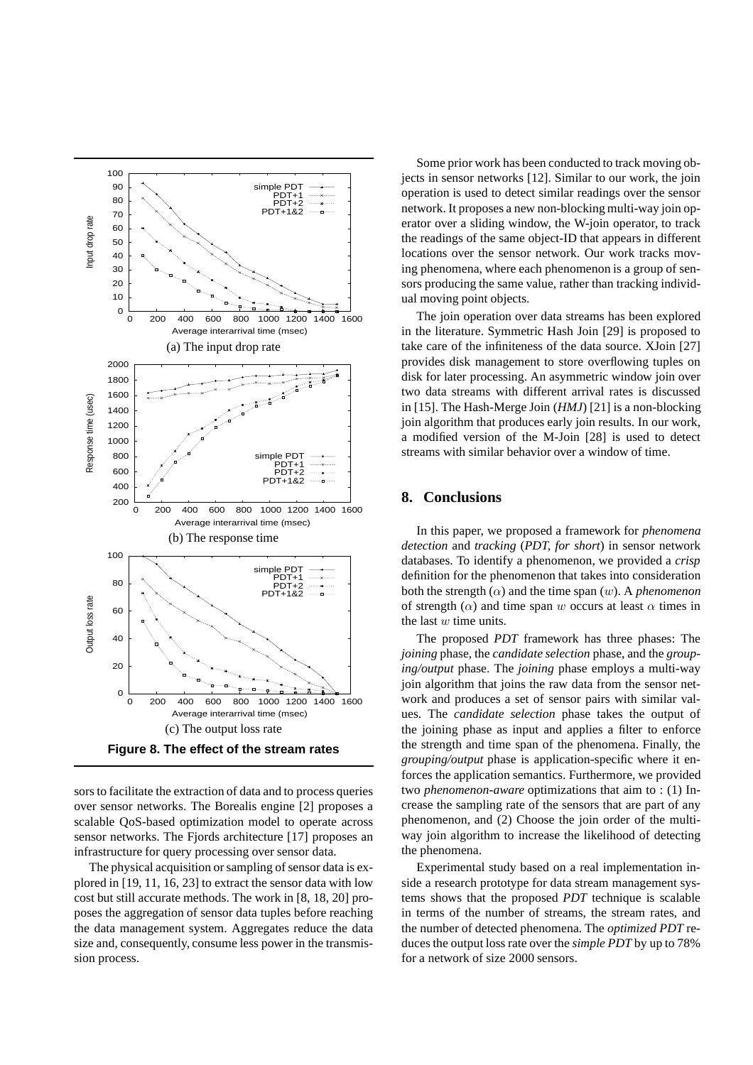

sors to facilitate the extraction of data and to process queries over sensor networks. The Borealis engine [2] proposes a scalable QoS-based optimization model to operate across sensor networks. The Fjords architecture [17] proposes an infrastructure for query processing over sensor data.

The physical acquisition or sampling of sensor data is explored in [19, 11, 16, 23] to extract the sensor data with low cost but still accurate methods. The work in [8, 18, 20] proposes the aggregation of sensor data tuples before reaching the data management system. Aggregates reduce the data size and, consequently, consume less power in the transmission process.

Some prior work has been conducted to track moving objects in sensor networks [12]. Similar to our work, the join operation is used to detect similar readings over the sensor network. It proposes a new non-blocking multi-way join operator over a sliding window, the W-join operator, to track the readings of the same object-ID that appears in different locations over the sensor network. Our work tracks moving phenomena, where each phenomenon is a group of sensors producing the same value, rather than tracking individual moving point objects.

The join operation over data streams has been explored in the literature. Symmetric Hash Join [29] is proposed to take care of the infiniteness of the data source. XJoin [27] provides disk management to store overflowing tuples on disk for later processing. An asymmetric window join over two data streams with different arrival rates is discussed in [15]. The Hash-Merge Join (*HMJ*) [21] is a non-blocking join algorithm that produces early join results. In our work, a modified version of the M-Join [28] is used to detect streams with similar behavior over a window of time.

# **8. Conclusions**

In this paper, we proposed a framework for *phenomena detection* and *tracking* (*PDT, for short*) in sensor network databases. To identify a phenomenon, we provided a *crisp* definition for the phenomenon that takes into consideration both the strength  $(\alpha)$  and the time span  $(w)$ . A *phenomenon* of strength ( $\alpha$ ) and time span w occurs at least  $\alpha$  times in the last  $w$  time units.

The proposed *PDT* framework has three phases: The *joining* phase, the *candidate selection* phase, and the *grouping/output* phase. The *joining* phase employs a multi-way join algorithm that joins the raw data from the sensor network and produces a set of sensor pairs with similar values. The *candidate selection* phase takes the output of the joining phase as input and applies a filter to enforce the strength and time span of the phenomena. Finally, the *grouping/output* phase is application-specific where it enforces the application semantics. Furthermore, we provided two *phenomenon-aware* optimizations that aim to : (1) Increase the sampling rate of the sensors that are part of any phenomenon, and (2) Choose the join order of the multiway join algorithm to increase the likelihood of detecting the phenomena.

Experimental study based on a real implementation inside a research prototype for data stream management systems shows that the proposed *PDT* technique is scalable in terms of the number of streams, the stream rates, and the number of detected phenomena. The *optimized PDT* reduces the output loss rate over the *simple PDT* by up to 78% for a network of size 2000 sensors.